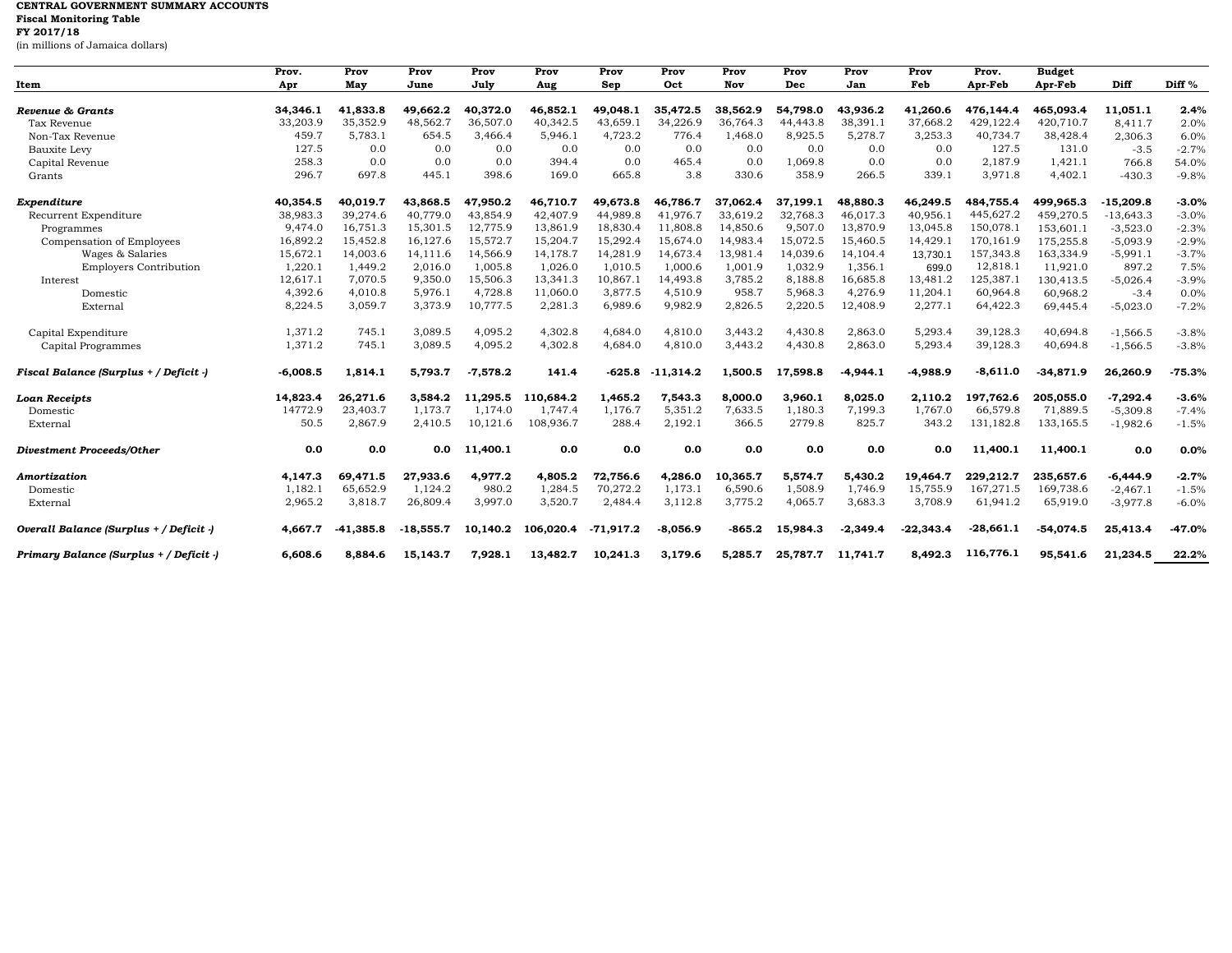## **CENTRAL GOVERNMENT SUMMARY ACCOUNTS Fiscal Monitoring Table FY 2017/18** (in millions of Jamaica dollars)

| Item                                    | Prov.<br>Apr | Prov<br>May | Prov<br>June | Prov<br>July | Prov<br>Aug | Prov<br>Sep | Prov<br>Oct | Prov<br>Nov | Prov<br>Dec | Prov<br>Jan | Prov<br>Feb | Prov.<br>Apr-Feb | <b>Budget</b><br>Apr-Feb | Diff        | Diff %   |
|-----------------------------------------|--------------|-------------|--------------|--------------|-------------|-------------|-------------|-------------|-------------|-------------|-------------|------------------|--------------------------|-------------|----------|
|                                         |              |             |              |              |             |             |             |             |             |             |             |                  |                          |             |          |
| Revenue & Grants                        | 34,346.1     | 41.833.8    | 49.662.2     | 40.372.0     | 46,852.1    | 49.048.1    | 35,472.5    | 38.562.9    | 54.798.0    | 43.936.2    | 41.260.6    | 476.144.4        | 465.093.4                | 11.051.1    | 2.4%     |
| Tax Revenue                             | 33,203.9     | 35,352.9    | 48,562.7     | 36,507.0     | 40,342.5    | 43,659.     | 34,226.9    | 36,764.3    | 44,443.8    | 38,391.1    | 37,668.2    | 429,122.4        | 420,710.7                | 8,411.7     | 2.0%     |
| Non-Tax Revenue                         | 459.7        | 5,783.1     | 654.5        | 3,466.4      | 5,946.1     | 4,723.2     | 776.4       | 1,468.0     | 8,925.5     | 5,278.7     | 3,253.3     | 40,734.7         | 38,428.4                 | 2,306.3     | 6.0%     |
| <b>Bauxite Levy</b>                     | 127.5        | 0.0         | 0.0          | 0.0          | 0.0         | 0.0         | 0.0         | 0.0         | 0.0         | 0.0         | 0.0         | 127.5            | 131.0                    | $-3.5$      | $-2.7%$  |
| Capital Revenue                         | 258.3        | 0.0         | 0.0          | 0.0          | 394.4       | 0.0         | 465.4       | 0.0         | 1,069.8     | 0.0         | 0.0         | 2,187.9          | 1,421.1                  | 766.8       | 54.0%    |
| Grants                                  | 296.7        | 697.8       | 445.1        | 398.6        | 169.0       | 665.8       | 3.8         | 330.6       | 358.9       | 266.5       | 339.1       | 3,971.8          | 4,402.1                  | $-430.3$    | $-9.8%$  |
| Expenditure                             | 40,354.5     | 40,019.7    | 43,868.5     | 47,950.2     | 46,710.7    | 49,673.8    | 46.786.7    | 37.062.4    | 37.199.1    | 48,880.3    | 46,249.5    | 484,755.4        | 499.965.3                | $-15,209.8$ | $-3.0%$  |
| Recurrent Expenditure                   | 38,983.3     | 39,274.6    | 40,779.0     | 43,854.9     | 42,407.9    | 44,989.8    | 41.976.7    | 33,619.2    | 32,768.3    | 46,017.3    | 40,956.1    | 445,627.2        | 459,270.5                | $-13,643.3$ | $-3.0%$  |
| Programmes                              | 9,474.0      | 16,751.3    | 15,301.5     | 12,775.9     | 13,861.9    | 18,830.4    | 11,808.8    | 14,850.6    | 9,507.0     | 13,870.9    | 13,045.8    | 150,078.1        | 153,601.1                | $-3,523.0$  | $-2.3%$  |
| Compensation of Employees               | 16,892.2     | 15,452.8    | 16,127.6     | 15,572.7     | 15,204.7    | 15,292.4    | 15,674.0    | 14,983.4    | 15,072.5    | 15,460.5    | 14,429.1    | 170,161.9        | 175,255.8                | $-5,093.9$  | $-2.9%$  |
| Wages & Salaries                        | 15,672.1     | 14,003.6    | 14,111.6     | 14,566.9     | 14,178.7    | 14,281.9    | 14,673.4    | 13,981.4    | 14,039.6    | 14,104.4    | 13,730.1    | 157,343.8        | 163,334.9                | $-5,991.1$  | $-3.7%$  |
| <b>Employers Contribution</b>           | 1,220.1      | 1,449.2     | 2,016.0      | 1,005.8      | 1,026.0     | 1,010.5     | 1,000.6     | 1,001.9     | 1,032.9     | 1,356.1     | 699.0       | 12,818.1         | 11,921.0                 | 897.2       | 7.5%     |
| Interest                                | 12,617.1     | 7,070.5     | 9,350.0      | 15,506.3     | 13,341.3    | 10,867.1    | 14,493.8    | 3,785.2     | 8,188.8     | 16,685.8    | 13,481.2    | 125,387.1        | 130,413.5                | $-5,026.4$  | $-3.9%$  |
| Domestic                                | 4,392.6      | 4,010.8     | 5,976.1      | 4,728.8      | 11,060.0    | 3,877.5     | 4,510.9     | 958.7       | 5,968.3     | 4,276.9     | 11,204.1    | 60,964.8         | 60,968.2                 | $-3.4$      | 0.0%     |
| External                                | 8,224.5      | 3,059.7     | 3,373.9      | 10,777.5     | 2,281.3     | 6,989.6     | 9,982.9     | 2,826.5     | 2,220.5     | 12,408.9    | 2,277.1     | 64,422.3         | 69,445.4                 | $-5,023.0$  | $-7.2%$  |
| Capital Expenditure                     | 1,371.2      | 745.1       | 3,089.5      | 4,095.2      | 4,302.8     | 4,684.0     | 4,810.0     | 3,443.2     | 4,430.8     | 2,863.0     | 5,293.4     | 39,128.3         | 40,694.8                 | $-1,566.5$  | $-3.8%$  |
| Capital Programmes                      | 1,371.2      | 745.1       | 3,089.5      | 4,095.2      | 4,302.8     | 4,684.0     | 4,810.0     | 3,443.2     | 4,430.8     | 2,863.0     | 5,293.4     | 39,128.3         | 40,694.8                 | $-1,566.5$  | $-3.8%$  |
| Fiscal Balance (Surplus + / Deficit -)  | $-6,008.5$   | 1,814.1     | 5,793.7      | $-7,578.2$   | 141.4       | $-625.8$    | $-11,314.2$ | 1,500.5     | 17,598.8    | $-4,944.1$  | $-4,988.9$  | $-8,611.0$       | $-34,871.9$              | 26,260.9    | $-75.3%$ |
| Loan Receipts                           | 14,823.4     | 26,271.6    | 3,584.2      | 11.295.5     | 110,684.2   | 1,465.2     | 7,543.3     | 8.000.0     | 3,960.1     | 8.025.0     | 2,110.2     | 197.762.6        | 205.055.0                | $-7,292.4$  | $-3.6%$  |
| Domestic                                | 14772.9      | 23,403.7    | 1,173.7      | 1,174.0      | 1,747.4     | 1,176.7     | 5,351.2     | 7,633.5     | 1,180.3     | 7,199.3     | 1,767.0     | 66,579.8         | 71,889.5                 | $-5,309.8$  | $-7.4%$  |
| External                                | 50.5         | 2,867.9     | 2,410.5      | 10,121.6     | 108,936.7   | 288.4       | 2,192.1     | 366.5       | 2779.8      | 825.7       | 343.2       | 131,182.8        | 133,165.5                | $-1,982.6$  | $-1.5%$  |
| <b>Divestment Proceeds/Other</b>        | 0.0          | 0.0         | 0.0          | 11,400.1     | 0.0         | 0.0         | 0.0         | 0.0         | 0.0         | 0.0         | 0.0         | 11.400.1         | 11,400.1                 | 0.0         | 0.0%     |
| Amortization                            | 4,147.3      | 69.471.5    | 27,933.6     | 4,977.2      | 4,805.2     | 72,756.6    | 4,286.0     | 10.365.7    | 5,574.7     | 5,430.2     | 19,464.7    | 229,212.7        | 235,657.6                | $-6,444.9$  | $-2.7%$  |
| Domestic                                | 1,182.1      | 65,652.9    | 1,124.2      | 980.2        | 1,284.5     | 70,272.2    | 1,173.1     | 6,590.6     | 1,508.9     | 1,746.9     | 15,755.9    | 167,271.5        | 169,738.6                | $-2,467.1$  | $-1.5%$  |
| External                                | 2,965.2      | 3,818.7     | 26,809.4     | 3,997.0      | 3,520.7     | 2,484.4     | 3,112.8     | 3,775.2     | 4,065.7     | 3,683.3     | 3,708.9     | 61,941.2         | 65,919.0                 | $-3,977.8$  | $-6.0%$  |
| Overall Balance (Surplus + / Deficit -) | 4,667.7      | $-41,385.8$ | $-18.555.7$  | 10.140.2     | 106.020.4   | $-71.917.2$ | $-8.056.9$  | $-865.2$    | 15,984.3    | $-2.349.4$  | $-22.343.4$ | $-28,661.1$      | $-54.074.5$              | 25,413.4    | $-47.0%$ |
| Primary Balance (Surplus + / Deficit -) | 6,608.6      | 8,884.6     | 15.143.7     | 7,928.1      | 13,482.7    | 10.241.3    | 3,179.6     | 5.285.7     | 25,787.7    | 11.741.7    | 8.492.3     | 116,776.1        | 95,541.6                 | 21.234.5    | 22.2%    |